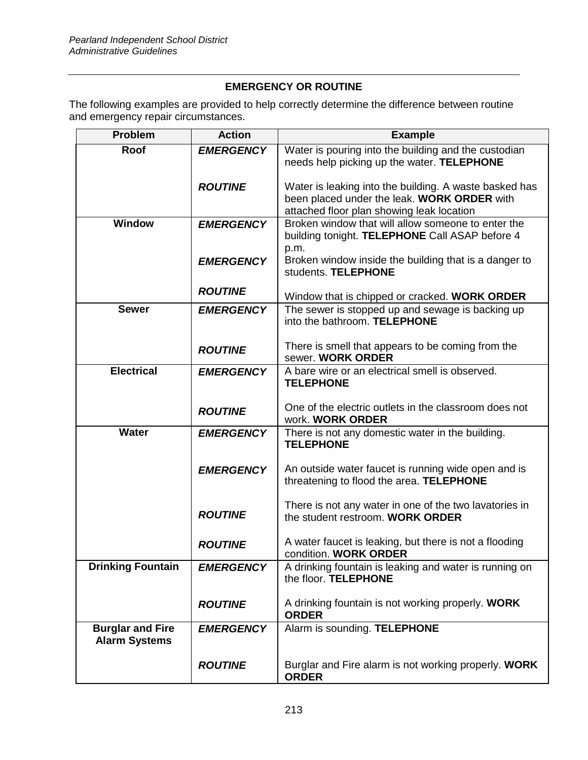## **EMERGENCY OR ROUTINE**

The following examples are provided to help correctly determine the difference between routine and emergency repair circumstances.

| <b>Problem</b>           | <b>Action</b>    | <b>Example</b>                                                                                       |
|--------------------------|------------------|------------------------------------------------------------------------------------------------------|
| <b>Roof</b>              | <b>EMERGENCY</b> | Water is pouring into the building and the custodian                                                 |
|                          |                  | needs help picking up the water. TELEPHONE                                                           |
|                          | <b>ROUTINE</b>   | Water is leaking into the building. A waste basked has                                               |
|                          |                  | been placed under the leak. WORK ORDER with                                                          |
|                          |                  | attached floor plan showing leak location                                                            |
| <b>Window</b>            | <b>EMERGENCY</b> | Broken window that will allow someone to enter the<br>building tonight. TELEPHONE Call ASAP before 4 |
|                          |                  | p.m.                                                                                                 |
|                          | <b>EMERGENCY</b> | Broken window inside the building that is a danger to<br>students. TELEPHONE                         |
|                          | <b>ROUTINE</b>   |                                                                                                      |
| <b>Sewer</b>             | <b>EMERGENCY</b> | Window that is chipped or cracked. WORK ORDER<br>The sewer is stopped up and sewage is backing up    |
|                          |                  | into the bathroom. TELEPHONE                                                                         |
|                          |                  | There is smell that appears to be coming from the                                                    |
|                          | <b>ROUTINE</b>   | sewer. WORK ORDER                                                                                    |
| <b>Electrical</b>        | <b>EMERGENCY</b> | A bare wire or an electrical smell is observed.                                                      |
|                          |                  | <b>TELEPHONE</b>                                                                                     |
|                          |                  | One of the electric outlets in the classroom does not                                                |
|                          | <b>ROUTINE</b>   | work. WORK ORDER                                                                                     |
| <b>Water</b>             | <b>EMERGENCY</b> | There is not any domestic water in the building.                                                     |
|                          |                  | <b>TELEPHONE</b>                                                                                     |
|                          | <b>EMERGENCY</b> | An outside water faucet is running wide open and is                                                  |
|                          |                  | threatening to flood the area. TELEPHONE                                                             |
|                          |                  |                                                                                                      |
|                          | <b>ROUTINE</b>   | There is not any water in one of the two lavatories in<br>the student restroom. WORK ORDER           |
|                          |                  |                                                                                                      |
|                          | <b>ROUTINE</b>   | A water faucet is leaking, but there is not a flooding<br>condition. WORK ORDER                      |
| <b>Drinking Fountain</b> | <b>EMERGENCY</b> | A drinking fountain is leaking and water is running on                                               |
|                          |                  | the floor. TELEPHONE                                                                                 |
|                          | <b>ROUTINE</b>   | A drinking fountain is not working properly. WORK                                                    |
|                          |                  | <b>ORDER</b>                                                                                         |
| <b>Burglar and Fire</b>  | <b>EMERGENCY</b> | Alarm is sounding. TELEPHONE                                                                         |
| <b>Alarm Systems</b>     |                  |                                                                                                      |
|                          | <b>ROUTINE</b>   | Burglar and Fire alarm is not working properly. WORK                                                 |
|                          |                  | <b>ORDER</b>                                                                                         |